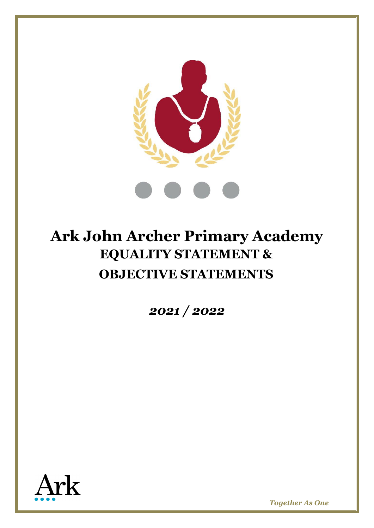

# **Ark John Archer Primary Academy EQUALITY STATEMENT & OBJECTIVE STATEMENTS**

*2021 / 2022*

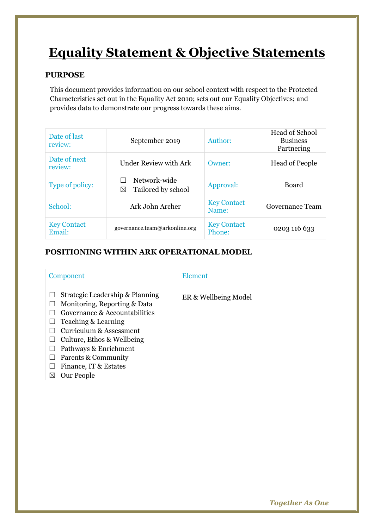# **Equality Statement & Objective Statements**

### **PURPOSE**

This document provides information on our school context with respect to the Protected Characteristics set out in the Equality Act 2010; sets out our Equality Objectives; and provides data to demonstrate our progress towards these aims.

| Date of last<br>review:      | September 2019                          | Author:                      | <b>Head of School</b><br><b>Business</b><br>Partnering |
|------------------------------|-----------------------------------------|------------------------------|--------------------------------------------------------|
| Date of next<br>review:      | <b>Under Review with Ark</b>            | Owner:                       | <b>Head of People</b>                                  |
| Type of policy:              | Network-wide<br>Tailored by school<br>⊠ | Approval:                    | Board                                                  |
| School:                      | Ark John Archer                         | <b>Key Contact</b><br>Name:  | Governance Team                                        |
| <b>Key Contact</b><br>Email: | governance.team@arkonline.org           | <b>Key Contact</b><br>Phone: | 0203 116 633                                           |

## **POSITIONING WITHIN ARK OPERATIONAL MODEL**

| Component                                                                                                                                                                                                                                                                              | Element              |
|----------------------------------------------------------------------------------------------------------------------------------------------------------------------------------------------------------------------------------------------------------------------------------------|----------------------|
| Strategic Leadership & Planning<br>Monitoring, Reporting & Data<br>Governance & Accountabilities<br>Teaching & Learning<br>Curriculum & Assessment<br>Culture, Ethos & Wellbeing<br>Pathways & Enrichment<br>Parents & Community<br>Finance, IT & Estates<br>Our People<br>$\boxtimes$ | ER & Wellbeing Model |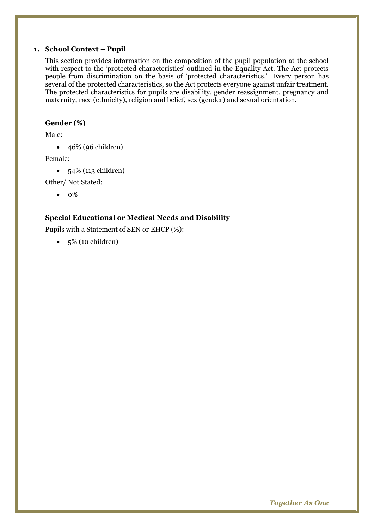#### **1. School Context – Pupil**

This section provides information on the composition of the pupil population at the school with respect to the 'protected characteristics' outlined in the Equality Act. The Act protects people from discrimination on the basis of 'protected characteristics.' Every person has several of the protected characteristics, so the Act protects everyone against unfair treatment. The protected characteristics for pupils are disability, gender reassignment, pregnancy and maternity, race (ethnicity), religion and belief, sex (gender) and sexual orientation.

#### **Gender (%)**

Male:

• 46% (96 children)

Female:

• 54% (113 children)

Other/ Not Stated:

• 0%

#### **Special Educational or Medical Needs and Disability**

Pupils with a Statement of SEN or EHCP (%):

 $\bullet$  5% (10 children)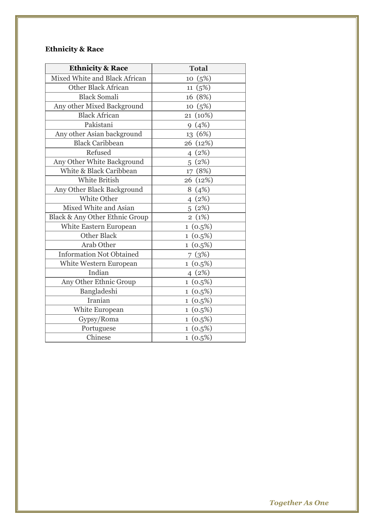# **Ethnicity & Race**

| <b>Ethnicity &amp; Race</b>     | <b>Total</b>           |  |  |
|---------------------------------|------------------------|--|--|
| Mixed White and Black African   | (5%)<br>10             |  |  |
| <b>Other Black African</b>      | (5%)<br>11             |  |  |
| <b>Black Somali</b>             | 16 (8%)                |  |  |
| Any other Mixed Background      | (5%)<br>10             |  |  |
| <b>Black African</b>            | (10%)<br>21            |  |  |
| Pakistani                       | (4%)<br>9              |  |  |
| Any other Asian background      | 13 (6%)                |  |  |
| <b>Black Caribbean</b>          | (12%)<br>26            |  |  |
| Refused                         | (2%)<br>$\overline{4}$ |  |  |
| Any Other White Background      | (2%)<br>5              |  |  |
| White & Black Caribbean         | 17 (8%)                |  |  |
| White British                   | 26 (12%)               |  |  |
| Any Other Black Background      | (4%)<br>8              |  |  |
| White Other                     | 4(2%)                  |  |  |
| Mixed White and Asian           | 5(2%)                  |  |  |
| Black & Any Other Ethnic Group  | 2(1%)                  |  |  |
| White Eastern European          | $1(0.5\%)$             |  |  |
| <b>Other Black</b>              | $1(0.5\%)$             |  |  |
| Arab Other                      | $1(0.5\%)$             |  |  |
| <b>Information Not Obtained</b> | 7(3%)                  |  |  |
| White Western European          | $1(0.5\%)$             |  |  |
| Indian                          | 4(2%)                  |  |  |
| Any Other Ethnic Group          | $1(0.5\%)$             |  |  |
| Bangladeshi                     | $1(0.5\%)$             |  |  |
| Iranian                         | $1(0.5\%)$             |  |  |
| White European                  | $1(0.5\%)$             |  |  |
| Gypsy/Roma                      | $1(0.5\%)$             |  |  |
| Portuguese                      | $1(0.5\%)$             |  |  |
| Chinese                         | $1(0.5\%)$             |  |  |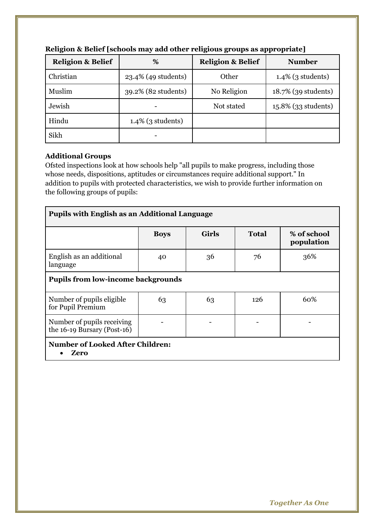| <b>Religion &amp; Belief</b> | %                    | <b>Religion &amp; Belief</b> | <b>Number</b>        |
|------------------------------|----------------------|------------------------------|----------------------|
| Christian                    | 23.4% (49 students)  | Other                        | $1.4\%$ (3 students) |
| Muslim                       | 39.2% (82 students)  | No Religion                  | 18.7% (39 students)  |
| Jewish                       |                      | Not stated                   | 15.8% (33 students)  |
| Hindu                        | $1.4\%$ (3 students) |                              |                      |
| Sikh                         |                      |                              |                      |

#### **Religion & Belief [schools may add other religious groups as appropriate]**

#### **Additional Groups**

Ofsted inspections look at how schools help "all pupils to make progress, including those whose needs, dispositions, aptitudes or circumstances require additional support." In addition to pupils with protected characteristics, we wish to provide further information on the following groups of pupils:

| <b>Pupils with English as an Additional Language</b>      |             |              |              |                           |  |  |  |
|-----------------------------------------------------------|-------------|--------------|--------------|---------------------------|--|--|--|
|                                                           | <b>Boys</b> | <b>Girls</b> | <b>Total</b> | % of school<br>population |  |  |  |
| English as an additional<br>language                      | 40          | 36           | 76           | 36%                       |  |  |  |
| <b>Pupils from low-income backgrounds</b>                 |             |              |              |                           |  |  |  |
| Number of pupils eligible<br>for Pupil Premium            | 63          | 63           | 126          | 60%                       |  |  |  |
| Number of pupils receiving<br>the 16-19 Bursary (Post-16) |             |              |              |                           |  |  |  |
| <b>Number of Looked After Children:</b><br>Zero           |             |              |              |                           |  |  |  |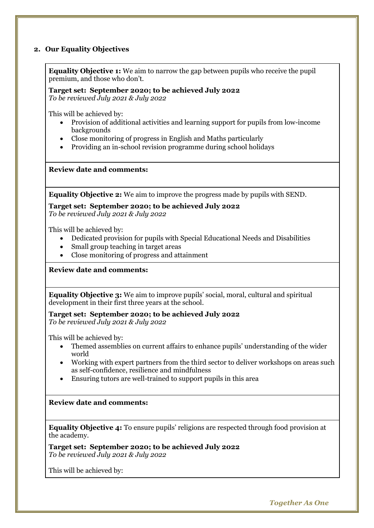#### **2. Our Equality Objectives**

**Equality Objective 1:** We aim to narrow the gap between pupils who receive the pupil premium, and those who don't.

#### **Target set: September 2020; to be achieved July 2022**

*To be reviewed July 2021 & July 2022*

This will be achieved by:

- Provision of additional activities and learning support for pupils from low-income backgrounds
- Close monitoring of progress in English and Maths particularly
- Providing an in-school revision programme during school holidays

**Review date and comments:**

**Equality Objective 2:** We aim to improve the progress made by pupils with SEND.

**Target set: September 2020; to be achieved July 2022** *To be reviewed July 2021 & July 2022*

This will be achieved by:

- Dedicated provision for pupils with Special Educational Needs and Disabilities
- Small group teaching in target areas
- Close monitoring of progress and attainment

**Review date and comments:**

**Equality Objective 3:** We aim to improve pupils' social, moral, cultural and spiritual development in their first three years at the school.

**Target set: September 2020; to be achieved July 2022** *To be reviewed July 2021 & July 2022*

This will be achieved by:

- Themed assemblies on current affairs to enhance pupils' understanding of the wider world
- Working with expert partners from the third sector to deliver workshops on areas such as self-confidence, resilience and mindfulness
- Ensuring tutors are well-trained to support pupils in this area

#### **Review date and comments:**

**Equality Objective 4:** To ensure pupils' religions are respected through food provision at the academy.

**Target set: September 2020; to be achieved July 2022** *To be reviewed July 2021 & July 2022*

This will be achieved by: